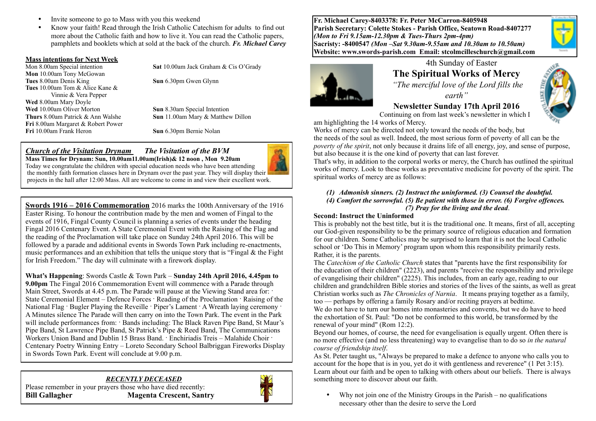- Invite someone to go to Mass with you this weekend
- Know your faith! Read through the Irish Catholic Catechism for adults to find out more about the Catholic faith and how to live it. You can read the Catholic papers, pamphlets and booklets which at sold at the back of the church. *Fr. Michael Carey*

#### **Mass intentions for Next Week**

**Mon** 10.00am Tony McGowan **Tues** 8.00am Denis King **Sun** 6.30pm Gwen Glynn **Tues** 10.00am Tom & Alice Kane & Vinnie & Vera Pepper **Wed** 8.00am Mary Doyle **Wed** 10.00am Oliver Morton **Sun** 8.30am Special Intention **Fri** 8.00am Margaret & Robert Power **Fri** 10.00am Frank Heron **Sun** 6.30pm Bernie Nolan

Mon 8.00am Special intention **Sat** 10.00am Jack Graham & Cis O'Grady

**Thurs** 8.00am Patrick & Ann Walshe **Sun** 11.00am Mary & Matthew Dillon

#### *Church of the Visitation Drynam**The Visitation of the BVM* **Mass Times for Drynam: Sun, 10.00am11.00am(Irish)& 12 noon , Mon 9.20am**



Today we congratulate the children with special education needs who have been attending the monthly faith formation classes here in Drynam over the past year. They will display their projects in the hall after 12:00 Mass. All are welcome to come in and view their excellent work.

**Swords 1916 – 2016 Commemoration** 2016 marks the 100th Anniversary of the 1916 Easter Rising. To honour the contribution made by the men and women of Fingal to the events of 1916, Fingal County Council is planning a series of events under the heading Fingal 2016 Centenary Event. A State Ceremonial Event with the Raising of the Flag and the reading of the Proclamation will take place on Sunday 24th April 2016. This will be followed by a parade and additional events in Swords Town Park including re-enactments, music performances and an exhibition that tells the unique story that is "Fingal & the Fight for Irish Freedom." The day will culminate with a firework display.

**What's Happening**: Swords Castle & Town Park – **Sunday 24th April 2016, 4.45pm to 9.00pm** The Fingal 2016 Commemoration Event will commence with a Parade through Main Street, Swords at 4.45 p.m. The Parade will pause at the Viewing Stand area for: State Ceremonial Element – Defence Forces · Reading of the Proclamation · Raising of the National Flag · Bugler Playing the Reveille · Piper's Lament · A Wreath laying ceremony · A Minutes silence The Parade will then carry on into the Town Park. The event in the Park will include performances from: · Bands including: The Black Raven Pipe Band, St Maur's Pipe Band, St Lawrence Pipe Band, St Patrick's Pipe & Reed Band, The Communications Workers Union Band and Dublin 15 Brass Band. · Enchiriadis Treis – Malahide Choir · Centenary Poetry Winning Entry – Loreto Secondary School Balbriggan Fireworks Display in Swords Town Park. Event will conclude at 9.00 p.m.

*RECENTLY DECEASED*  Please remember in your prayers those who have died recently: **Bill Gallagher Magenta Crescent, Santry**



**Fr. Michael Carey-8403378: Fr. Peter McCarron-8405948 Parish Secretary: Colette Stokes - Parish Office, Seatown Road-8407277**  *(Mon to Fri 9.15am-12.30pm & Tues-Thurs 2pm-4pm)*  **Sacristy: -8400547** *(Mon –Sat 9.30am-9.55am and 10.30am to 10.50am)* **Website: [www.swords-parish.com Email:](http://www.swords-parish.com%20%20email) stcolmcilleschurch@gmail.com**



# 4th Sunday of Easter **The Spiritual Works of Mercy**

 *"The merciful love of the Lord fills the earth"* 

**Newsletter Sunday 17th April 2016** 

Continuing on from last week's newsletter in which I

am highlighting the 14 works of Mercy.

Works of mercy can be directed not only toward the needs of the body, but the needs of the soul as well. Indeed, the most serious form of poverty of all can be the *poverty of the spirit*, not only because it drains life of all energy, joy, and sense of purpose, but also because it is the one kind of poverty that can last forever.

That's why, in addition to the corporal works or mercy, the Church has outlined the spiritual works of mercy. Look to these works as preventative medicine for poverty of the spirit. The spiritual works of mercy are as follows:

#### *(1) Admonish sinners. (2) Instruct the uninformed. (3) Counsel the doubtful. (4) Comfort the sorrowful. (5) Be patient with those in error. (6) Forgive offences. (7) Pray for the living and the dead*.

### **Second: Instruct the Uninformed**

This is probably not the best title, but it is the traditional one. It means, first of all, accepting our God-given responsibility to be the primary source of religious education and formation for our children. Some Catholics may be surprised to learn that it is not the local Catholic school or 'Do This in Memory' program upon whom this responsibility primarily rests. Rather, it is the parents.

The *Catechism of the Catholic Church* states that "parents have the first responsibility for the education of their children" (2223), and parents "receive the responsibility and privilege of evangelising their children" (2225). This includes, from an early age, reading to our children and grandchildren Bible stories and stories of the lives of the saints, as well as great Christian works such as *The Chronicles of Narnia*. It means praying together as a family, too — perhaps by offering a family Rosary and/or reciting prayers at bedtime. We do not have to turn our homes into monasteries and convents, but we do have to heed the exhortation of St. Paul: "Do not be conformed to this world, be transformed by the renewal of your mind" (Rom 12:2).

Beyond our homes, of course, the need for evangelisation is equally urgent. Often there is no more effective (and no less threatening) way to evangelise than to do so *in the natural course of friendship itself*.

As St. Peter taught us, "Always be prepared to make a defence to anyone who calls you to account for the hope that is in you, yet do it with gentleness and reverence" (1 Pet 3:15). Learn about our faith and be open to talking with others about our beliefs. There is always something more to discover about our faith.

• Why not join one of the Ministry Groups in the Parish – no qualifications necessary other than the desire to serve the Lord